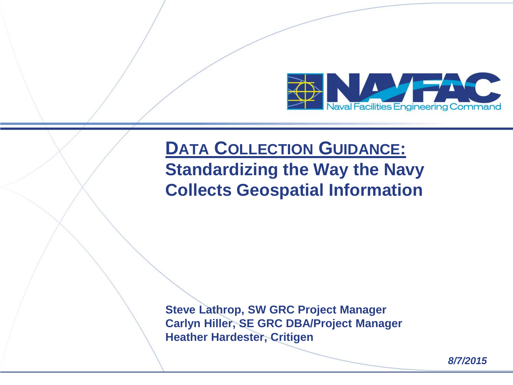

## **DATA COLLECTION GUIDANCE: Standardizing the Way the Navy Collects Geospatial Information**

**Steve Lathrop, SW GRC Project Manager Carlyn Hiller, SE GRC DBA/Project Manager Heather Hardester, Critigen**

*8/7/2015*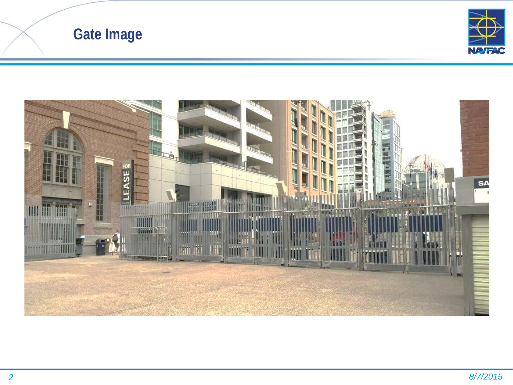



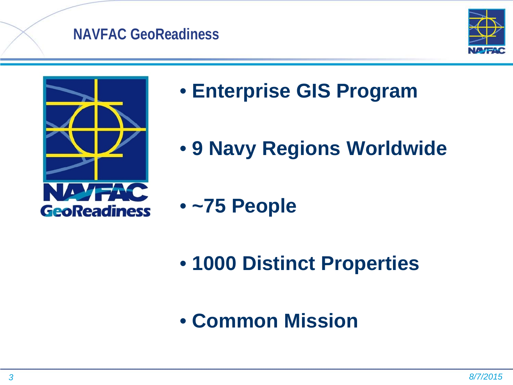### **NAVFAC GeoReadiness**





- **Enterprise GIS Program**
- **9 Navy Regions Worldwide**
- **~75 People**
- **1000 Distinct Properties**
- **Common Mission**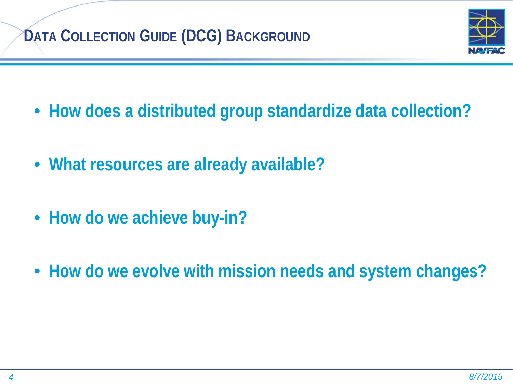## **DATA COLLECTION GUIDE (DCG) BACKGROUND**



- **How does a distributed group standardize data collection?**
- **What resources are already available?**
- **How do we achieve buy-in?**
- **How do we evolve with mission needs and system changes?**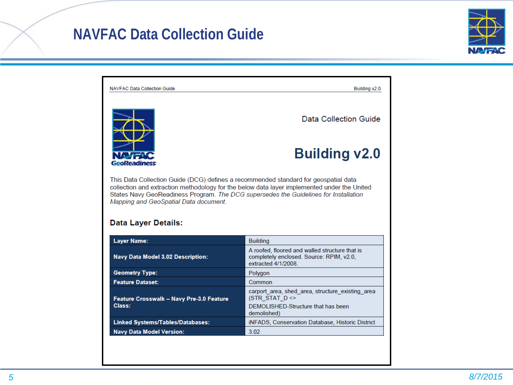## **NAVFAC Data Collection Guide**



| <b>NAVFAC Data Collection Guide</b>                                                                                                                                                                                                                                                                                                               | Building v2.0                                                                                                                          |  |  |  |  |
|---------------------------------------------------------------------------------------------------------------------------------------------------------------------------------------------------------------------------------------------------------------------------------------------------------------------------------------------------|----------------------------------------------------------------------------------------------------------------------------------------|--|--|--|--|
|                                                                                                                                                                                                                                                                                                                                                   | <b>Data Collection Guide</b>                                                                                                           |  |  |  |  |
| GeoReadiness                                                                                                                                                                                                                                                                                                                                      | <b>Building v2.0</b>                                                                                                                   |  |  |  |  |
| This Data Collection Guide (DCG) defines a recommended standard for geospatial data<br>collection and extraction methodology for the below data layer implemented under the United<br>States Navy GeoReadiness Program. The DCG supersedes the Guidelines for Installation<br>Mapping and GeoSpatial Data document.<br><b>Data Layer Details:</b> |                                                                                                                                        |  |  |  |  |
|                                                                                                                                                                                                                                                                                                                                                   |                                                                                                                                        |  |  |  |  |
|                                                                                                                                                                                                                                                                                                                                                   | <b>Building</b>                                                                                                                        |  |  |  |  |
| <b>Layer Name:</b><br><b>Navy Data Model 3.02 Description:</b>                                                                                                                                                                                                                                                                                    | A roofed, floored and walled structure that is<br>completely enclosed. Source: RPIM, v2.0,<br>extracted 4/1/2008                       |  |  |  |  |
| <b>Geometry Type:</b>                                                                                                                                                                                                                                                                                                                             | Polygon                                                                                                                                |  |  |  |  |
| <b>Feature Dataset:</b>                                                                                                                                                                                                                                                                                                                           | Common                                                                                                                                 |  |  |  |  |
| Feature Crosswalk - Navy Pre-3.0 Feature<br>Class:                                                                                                                                                                                                                                                                                                | carport area, shed area, structure existing area<br>(STR STAT $D \Leftrightarrow$<br>DEMOLISHED-Structure that has been<br>demolished) |  |  |  |  |
| Linked Systems/Tables/Databases:                                                                                                                                                                                                                                                                                                                  | iNFADS, Conservation Database, Historic District                                                                                       |  |  |  |  |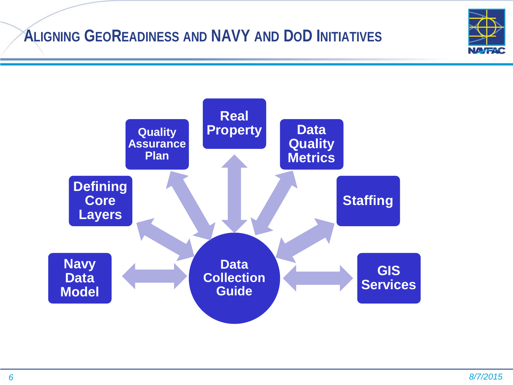## **ALIGNING GEOREADINESS AND NAVY AND DOD INITIATIVES**



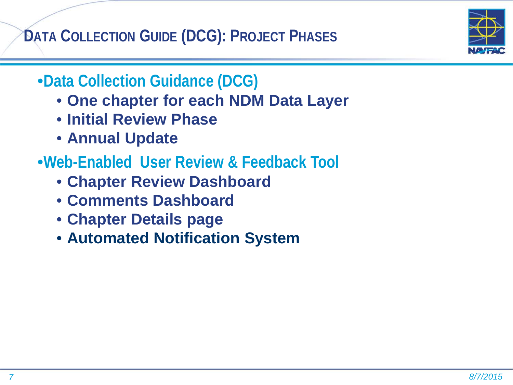**DATA COLLECTION GUIDE (DCG): PROJECT PHASES**

- •**Data Collection Guidance (DCG)**
	- **One chapter for each NDM Data Layer**
	- **Initial Review Phase**
	- **Annual Update**
- •**Web-Enabled User Review & Feedback Tool**
	- **Chapter Review Dashboard**
	- **Comments Dashboard**
	- **Chapter Details page**
	- **Automated Notification System**

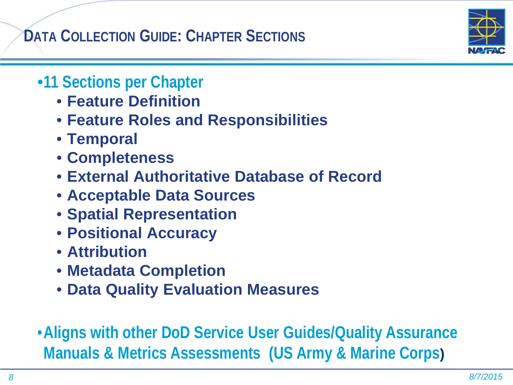**DATA COLLECTION GUIDE: CHAPTER SECTIONS**



## •**11 Sections per Chapter**

- **Feature Definition**
- **Feature Roles and Responsibilities**
- **Temporal**
- **Completeness**
- **External Authoritative Database of Record**
- **Acceptable Data Sources**
- **Spatial Representation**
- **Positional Accuracy**
- **Attribution**
- **Metadata Completion**
- **Data Quality Evaluation Measures**
- •**Aligns with other DoD Service User Guides/Quality Assurance Manuals & Metrics Assessments (US Army & Marine Corps)**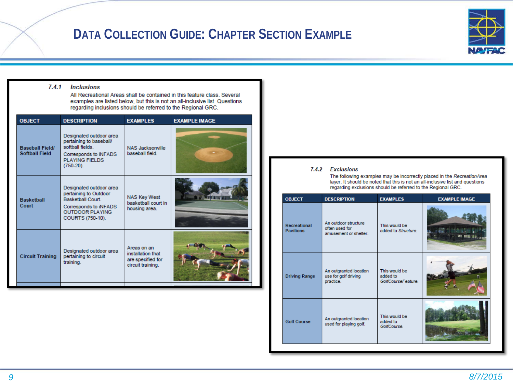### **DATA COLLECTION GUIDE: CHAPTER SECTION EXAMPLE**



#### **Inclusions**  $7.4.1$

All Recreational Areas shall be contained in this feature class. Several examples are listed below, but this is not an all-inclusive list. Questions regarding inclusions should be referred to the Regional GRC.

| <b>OBJECT</b>                                   | <b>DESCRIPTION</b>                                                                                                                                  | <b>EXAMPLES</b>                                                            | <b>EXAMPLE IMAGE</b> |
|-------------------------------------------------|-----------------------------------------------------------------------------------------------------------------------------------------------------|----------------------------------------------------------------------------|----------------------|
| <b>Baseball Field/</b><br><b>Softball Field</b> | Designated outdoor area<br>pertaining to baseball/<br>softball fields<br>Corresponds to iNFADS<br><b>PLAYING FIELDS</b><br>$(750-20)$ .             | <b>NAS Jacksonville</b><br>baseball field.                                 |                      |
| <b>Basketball</b><br>Court                      | Designated outdoor area<br>pertaining to Outdoor<br><b>Basketball Court.</b><br>Corresponds to INFADS<br><b>OUTDOOR PLAYING</b><br>COURTS (750-10). | <b>NAS Key West</b><br>basketball court in<br>housing area.                |                      |
| <b>Circuit Training</b>                         | Designated outdoor area<br>pertaining to circuit<br>training.                                                                                       | Areas on an<br>installation that<br>are specified for<br>circuit training. |                      |

#### 7.4.2 Exclusions

The following examples may be incorrectly placed in the RecreationArea layer. It should be noted that this is not an all-inclusive list and questions regarding exclusions should be referred to the Regional GRC.

| <b>OBJECT</b>                    | <b>DESCRIPTION</b>                                              | <b>EXAMPLES</b>                                 | <b>EXAMPLE IMAGE</b> |
|----------------------------------|-----------------------------------------------------------------|-------------------------------------------------|----------------------|
| Recreational<br><b>Pavilions</b> | An outdoor structure<br>often used for<br>amusement or shelter. | This would be<br>added to Structure.            |                      |
| <b>Driving Range</b>             | An outgranted location<br>use for golf driving<br>practice.     | This would be<br>added to<br>GolfCourseFeature. |                      |
| <b>Golf Course</b>               | An outgranted location<br>used for playing golf.                | This would be<br>added to<br>GolfCourse.        |                      |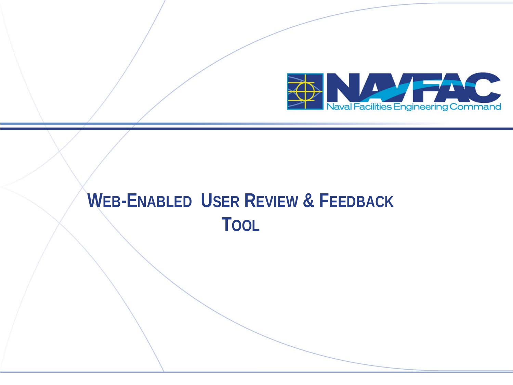

## **WEB-ENABLED USER REVIEW & FEEDBACK TOOL**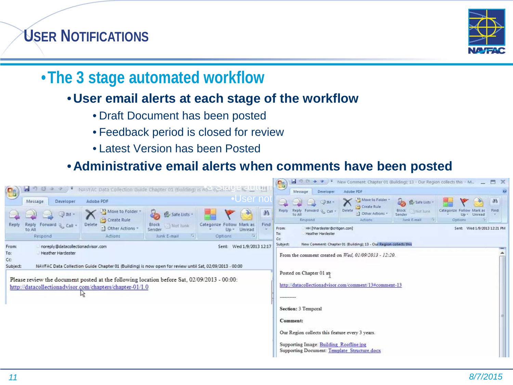## **USER NOTIFICATIONS**



## •**The 3 stage automated workflow**

#### • **User email alerts at each stage of the workflow**

- Draft Document has been posted
- Feedback period is closed for review
- Latest Version has been Posted

#### • **Administrative email alerts when comments have been posted**

|                                                                                                                           |                                                                           |                   |                               |                          |                                                        |                                                                                         | 8                                                                             | ы                                                 | New Comment: Chapter 01 (Building); 13 - Our Region collects this - M $\qquad \qquad \blacksquare$ |                                         |                                           |      |
|---------------------------------------------------------------------------------------------------------------------------|---------------------------------------------------------------------------|-------------------|-------------------------------|--------------------------|--------------------------------------------------------|-----------------------------------------------------------------------------------------|-------------------------------------------------------------------------------|---------------------------------------------------|----------------------------------------------------------------------------------------------------|-----------------------------------------|-------------------------------------------|------|
| $\mathbf{e}_3$                                                                                                            | NAVFAC Data Collection Guide Chapter 01 (Building) is now of the CIC CALL |                   |                               |                          |                                                        |                                                                                         | Message<br>Developer.                                                         | Adobe PDF                                         |                                                                                                    |                                         |                                           |      |
|                                                                                                                           | Message                                                                   | Developer         | Adobe PDF                     |                          |                                                        | <u>l</u> eUser not                                                                      |                                                                               | $\Box$ IM $=$                                     | Move to Folder<br>Create Rule                                                                      | <b>D B</b> Safe Lists                   |                                           | 沿    |
|                                                                                                                           |                                                                           | (3) IM -          | Move to Folder<br>Create Rule | è25<br>Safe Lists        |                                                        | M                                                                                       | Reply                                                                         | Reply Forward & Call -<br>to All<br>Respond       | Delete<br>:: Other Actions<br>Actions                                                              | Block Not Tunk<br>Sender<br>Junk E-mail | Categorize<br>$Up -$<br>Unread<br>Options | Find |
| Reply                                                                                                                     | Reply Forward & Call -<br>to All                                          |                   | Delete<br>til Other Actions - | Block Nat lunk<br>Sender | Categorize Follow Mark as<br>Up -                      | Find<br>Unread                                                                          | From:<br>To:                                                                  | HH [hhardester@critigen.com]<br>Heather Hardester |                                                                                                    |                                         | Sent: Wed 1/9/2013 12:21 PM               |      |
|                                                                                                                           | Respond                                                                   |                   | Actions                       | Junk E-mail<br>Jм.,      | Options                                                |                                                                                         | Co                                                                            |                                                   |                                                                                                    |                                         |                                           |      |
| Wed 1/9/2013 12:17<br>noreply@datacolectionadvisor.com<br>Sent:<br>From:                                                  |                                                                           |                   |                               |                          |                                                        |                                                                                         | New Comment: Chapter 01 (Building); 13 - Our Region collects this<br>Subject: |                                                   |                                                                                                    |                                         |                                           |      |
| To:                                                                                                                       |                                                                           | Heather Hardester |                               |                          |                                                        |                                                                                         |                                                                               |                                                   | From the comment created on Wed, 01/09/2013 - 12:20.                                               |                                         |                                           |      |
| Co<br>NAVFAC Data Collection Guide Chapter 01 (Building) is now open for review until Sat, 02/09/2013 - 00:00<br>Subject: |                                                                           |                   |                               |                          |                                                        |                                                                                         |                                                                               |                                                   |                                                                                                    |                                         |                                           |      |
|                                                                                                                           |                                                                           |                   |                               |                          |                                                        |                                                                                         | Posted on Chapter 01 at                                                       |                                                   |                                                                                                    |                                         |                                           |      |
| Please review the document posted at the following location before Sat, 02/09/2013 - 00:00:                               |                                                                           |                   |                               |                          | http://datacollectionadvisor.com/comment/13#comment-13 |                                                                                         |                                                                               |                                                   |                                                                                                    |                                         |                                           |      |
| http://datacollectionadvisor.com/chapters/chapter-01/1.0                                                                  |                                                                           |                   |                               |                          |                                                        |                                                                                         |                                                                               |                                                   |                                                                                                    |                                         |                                           |      |
|                                                                                                                           |                                                                           |                   |                               |                          |                                                        | ----------                                                                              |                                                                               |                                                   |                                                                                                    |                                         |                                           |      |
|                                                                                                                           |                                                                           |                   |                               |                          | Section: 3 Temporal                                    |                                                                                         |                                                                               |                                                   |                                                                                                    |                                         |                                           |      |
|                                                                                                                           |                                                                           |                   |                               |                          |                                                        |                                                                                         |                                                                               |                                                   |                                                                                                    |                                         |                                           |      |
|                                                                                                                           |                                                                           |                   |                               |                          |                                                        |                                                                                         |                                                                               | Comment:                                          |                                                                                                    |                                         |                                           |      |
|                                                                                                                           |                                                                           |                   |                               |                          | Our Region collects this feature every 3 years.        |                                                                                         |                                                                               |                                                   |                                                                                                    |                                         |                                           |      |
|                                                                                                                           |                                                                           |                   |                               |                          |                                                        |                                                                                         |                                                                               |                                                   |                                                                                                    |                                         |                                           |      |
|                                                                                                                           |                                                                           |                   |                               |                          |                                                        | Supporting Image: Building Roofline jpg<br>Supporting Document: Template Structure.docx |                                                                               |                                                   |                                                                                                    |                                         |                                           |      |
|                                                                                                                           |                                                                           |                   |                               |                          |                                                        |                                                                                         |                                                                               |                                                   |                                                                                                    |                                         |                                           |      |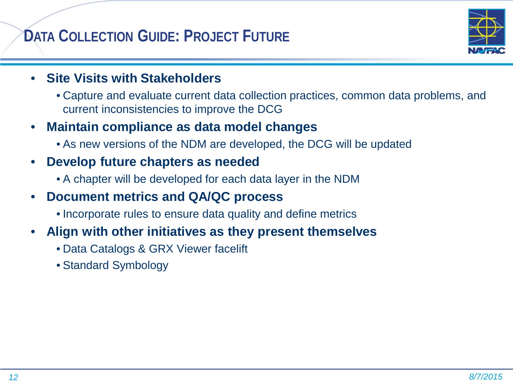## **DATA COLLECTION GUIDE: PROJECT FUTURE**



#### • **Site Visits with Stakeholders**

• Capture and evaluate current data collection practices, common data problems, and current inconsistencies to improve the DCG

#### • **Maintain compliance as data model changes**

• As new versions of the NDM are developed, the DCG will be updated

#### • **Develop future chapters as needed**

• A chapter will be developed for each data layer in the NDM

#### • **Document metrics and QA/QC process**

• Incorporate rules to ensure data quality and define metrics

#### • **Align with other initiatives as they present themselves**

- Data Catalogs & GRX Viewer facelift
- Standard Symbology